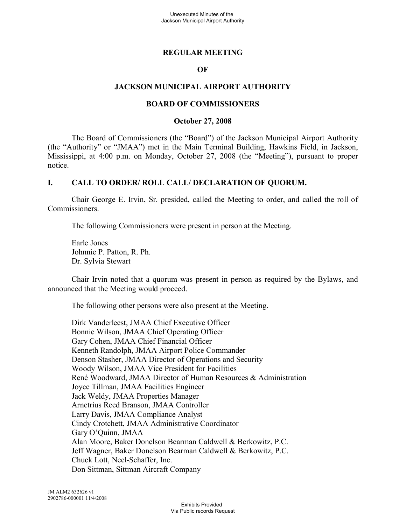### **REGULAR MEETING**

### **OF**

### **JACKSON MUNICIPAL AIRPORT AUTHORITY**

#### **BOARD OF COMMISSIONERS**

#### **October 27, 2008**

The Board of Commissioners (the "Board") of the Jackson Municipal Airport Authority (the "Authority" or "JMAA") met in the Main Terminal Building, Hawkins Field, in Jackson, Mississippi, at 4:00 p.m. on Monday, October 27, 2008 (the "Meeting"), pursuant to proper notice.

### **I. CALL TO ORDER/ ROLL CALL/ DECLARATION OF QUORUM.**

Chair George E. Irvin, Sr. presided, called the Meeting to order, and called the roll of Commissioners.

The following Commissioners were present in person at the Meeting.

Earle Jones Johnnie P. Patton, R. Ph. Dr. Sylvia Stewart

Chair Irvin noted that a quorum was present in person as required by the Bylaws, and announced that the Meeting would proceed.

The following other persons were also present at the Meeting.

Dirk Vanderleest, JMAA Chief Executive Officer Bonnie Wilson, JMAA Chief Operating Officer Gary Cohen, JMAA Chief Financial Officer Kenneth Randolph, JMAA Airport Police Commander Denson Stasher, JMAA Director of Operations and Security Woody Wilson, JMAA Vice President for Facilities René Woodward, JMAA Director of Human Resources & Administration Joyce Tillman, JMAA Facilities Engineer Jack Weldy, JMAA Properties Manager Arnetrius Reed Branson, JMAA Controller Larry Davis, JMAA Compliance Analyst Cindy Crotchett, JMAA Administrative Coordinator Gary O'Quinn, JMAA Alan Moore, Baker Donelson Bearman Caldwell & Berkowitz, P.C. Jeff Wagner, Baker Donelson Bearman Caldwell & Berkowitz, P.C. Chuck Lott, Neel-Schaffer, Inc. Don Sittman, Sittman Aircraft Company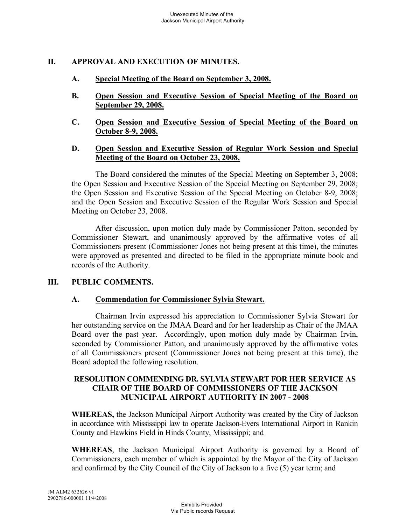## **II. APPROVAL AND EXECUTION OF MINUTES.**

- **A. Special Meeting of the Board on September 3, 2008.**
- **B. Open Session and Executive Session of Special Meeting of the Board on September 29, 2008.**
- **C. Open Session and Executive Session of Special Meeting of the Board on October 8-9, 2008.**

### **D. Open Session and Executive Session of Regular Work Session and Special Meeting of the Board on October 23, 2008.**

The Board considered the minutes of the Special Meeting on September 3, 2008; the Open Session and Executive Session of the Special Meeting on September 29, 2008; the Open Session and Executive Session of the Special Meeting on October 8-9, 2008; and the Open Session and Executive Session of the Regular Work Session and Special Meeting on October 23, 2008.

After discussion, upon motion duly made by Commissioner Patton, seconded by Commissioner Stewart, and unanimously approved by the affirmative votes of all Commissioners present (Commissioner Jones not being present at this time), the minutes were approved as presented and directed to be filed in the appropriate minute book and records of the Authority.

### **III. PUBLIC COMMENTS.**

### **A. Commendation for Commissioner Sylvia Stewart.**

Chairman Irvin expressed his appreciation to Commissioner Sylvia Stewart for her outstanding service on the JMAA Board and for her leadership as Chair of the JMAA Board over the past year. Accordingly, upon motion duly made by Chairman Irvin, seconded by Commissioner Patton, and unanimously approved by the affirmative votes of all Commissioners present (Commissioner Jones not being present at this time), the Board adopted the following resolution.

### **RESOLUTION COMMENDING DR. SYLVIA STEWART FOR HER SERVICE AS CHAIR OF THE BOARD OF COMMISSIONERS OF THE JACKSON MUNICIPAL AIRPORT AUTHORITY IN 2007 - 2008**

**WHEREAS,** the Jackson Municipal Airport Authority was created by the City of Jackson in accordance with Mississippi law to operate Jackson-Evers International Airport in Rankin County and Hawkins Field in Hinds County, Mississippi; and

**WHEREAS**, the Jackson Municipal Airport Authority is governed by a Board of Commissioners, each member of which is appointed by the Mayor of the City of Jackson and confirmed by the City Council of the City of Jackson to a five (5) year term; and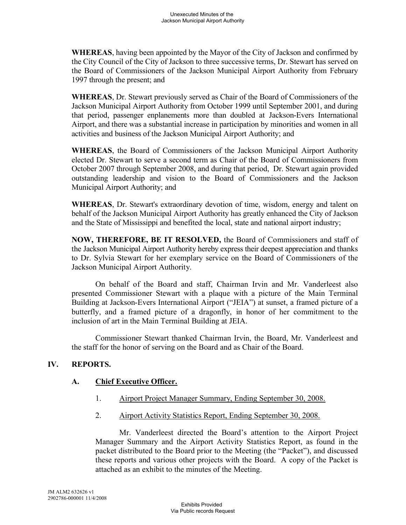**WHEREAS**, having been appointed by the Mayor of the City of Jackson and confirmed by the City Council of the City of Jackson to three successive terms, Dr. Stewart has served on the Board of Commissioners of the Jackson Municipal Airport Authority from February 1997 through the present; and

**WHEREAS**, Dr. Stewart previously served as Chair of the Board of Commissioners of the Jackson Municipal Airport Authority from October 1999 until September 2001, and during that period, passenger enplanements more than doubled at Jackson-Evers International Airport, and there was a substantial increase in participation by minorities and women in all activities and business of the Jackson Municipal Airport Authority; and

**WHEREAS**, the Board of Commissioners of the Jackson Municipal Airport Authority elected Dr. Stewart to serve a second term as Chair of the Board of Commissioners from October 2007 through September 2008, and during that period, Dr. Stewart again provided outstanding leadership and vision to the Board of Commissioners and the Jackson Municipal Airport Authority; and

**WHEREAS**, Dr. Stewart's extraordinary devotion of time, wisdom, energy and talent on behalf of the Jackson Municipal Airport Authority has greatly enhanced the City of Jackson and the State of Mississippi and benefited the local, state and national airport industry;

**NOW, THEREFORE, BE IT RESOLVED,** the Board of Commissioners and staff of the Jackson Municipal Airport Authority hereby express their deepest appreciation and thanks to Dr. Sylvia Stewart for her exemplary service on the Board of Commissioners of the Jackson Municipal Airport Authority.

On behalf of the Board and staff, Chairman Irvin and Mr. Vanderleest also presented Commissioner Stewart with a plaque with a picture of the Main Terminal Building at Jackson-Evers International Airport ("JEIA") at sunset, a framed picture of a butterfly, and a framed picture of a dragonfly, in honor of her commitment to the inclusion of art in the Main Terminal Building at JEIA.

Commissioner Stewart thanked Chairman Irvin, the Board, Mr. Vanderleest and the staff for the honor of serving on the Board and as Chair of the Board.

### **IV. REPORTS.**

### **A. Chief Executive Officer.**

- 1. Airport Project Manager Summary, Ending September 30, 2008.
- 2. Airport Activity Statistics Report, Ending September 30, 2008.

Mr. Vanderleest directed the Board's attention to the Airport Project Manager Summary and the Airport Activity Statistics Report, as found in the packet distributed to the Board prior to the Meeting (the "Packet"), and discussed these reports and various other projects with the Board. A copy of the Packet is attached as an exhibit to the minutes of the Meeting.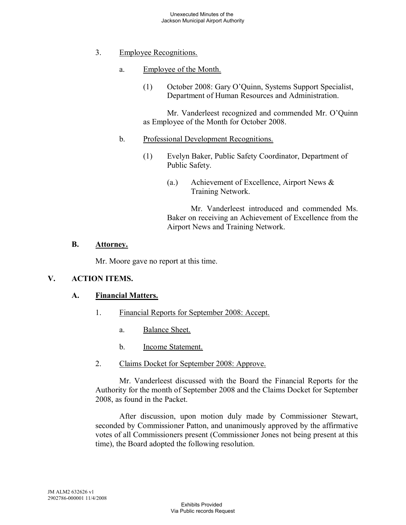- 3. Employee Recognitions.
	- a. Employee of the Month.
		- (1) October 2008: Gary O'Quinn, Systems Support Specialist, Department of Human Resources and Administration.

Mr. Vanderleest recognized and commended Mr. O'Quinn as Employee of the Month for October 2008.

- b. Professional Development Recognitions.
	- (1) Evelyn Baker, Public Safety Coordinator, Department of Public Safety.
		- (a.) Achievement of Excellence, Airport News & Training Network.

Mr. Vanderleest introduced and commended Ms. Baker on receiving an Achievement of Excellence from the Airport News and Training Network.

# **B. Attorney.**

Mr. Moore gave no report at this time.

# **V. ACTION ITEMS.**

# **A. Financial Matters.**

- 1. Financial Reports for September 2008: Accept.
	- a. Balance Sheet.
	- b. Income Statement.
- 2. Claims Docket for September 2008: Approve.

Mr. Vanderleest discussed with the Board the Financial Reports for the Authority for the month of September 2008 and the Claims Docket for September 2008, as found in the Packet.

After discussion, upon motion duly made by Commissioner Stewart, seconded by Commissioner Patton, and unanimously approved by the affirmative votes of all Commissioners present (Commissioner Jones not being present at this time), the Board adopted the following resolution.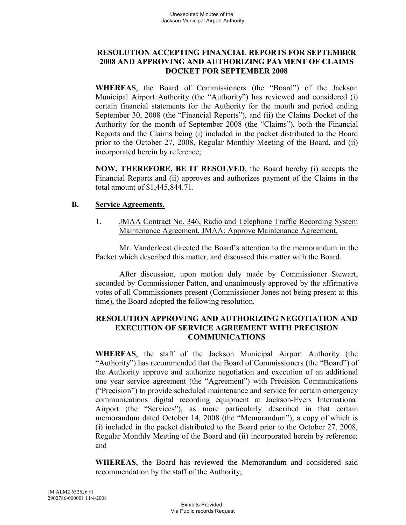### **RESOLUTION ACCEPTING FINANCIAL REPORTS FOR SEPTEMBER 2008 AND APPROVING AND AUTHORIZING PAYMENT OF CLAIMS DOCKET FOR SEPTEMBER 2008**

**WHEREAS**, the Board of Commissioners (the "Board") of the Jackson Municipal Airport Authority (the "Authority") has reviewed and considered (i) certain financial statements for the Authority for the month and period ending September 30, 2008 (the "Financial Reports"), and (ii) the Claims Docket of the Authority for the month of September 2008 (the "Claims"), both the Financial Reports and the Claims being (i) included in the packet distributed to the Board prior to the October 27, 2008, Regular Monthly Meeting of the Board, and (ii) incorporated herein by reference;

**NOW, THEREFORE, BE IT RESOLVED**, the Board hereby (i) accepts the Financial Reports and (ii) approves and authorizes payment of the Claims in the total amount of \$1,445,844.71.

### **B. Service Agreements.**

1. JMAA Contract No. 346, Radio and Telephone Traffic Recording System Maintenance Agreement, JMAA: Approve Maintenance Agreement.

Mr. Vanderleest directed the Board's attention to the memorandum in the Packet which described this matter, and discussed this matter with the Board.

After discussion, upon motion duly made by Commissioner Stewart, seconded by Commissioner Patton, and unanimously approved by the affirmative votes of all Commissioners present (Commissioner Jones not being present at this time), the Board adopted the following resolution.

### **RESOLUTION APPROVING AND AUTHORIZING NEGOTIATION AND EXECUTION OF SERVICE AGREEMENT WITH PRECISION COMMUNICATIONS**

**WHEREAS**, the staff of the Jackson Municipal Airport Authority (the "Authority") has recommended that the Board of Commissioners (the "Board") of the Authority approve and authorize negotiation and execution of an additional one year service agreement (the "Agreement") with Precision Communications ("Precision") to provide scheduled maintenance and service for certain emergency communications digital recording equipment at Jackson-Evers International Airport (the "Services"), as more particularly described in that certain memorandum dated October 14, 2008 (the "Memorandum"), a copy of which is (i) included in the packet distributed to the Board prior to the October 27, 2008, Regular Monthly Meeting of the Board and (ii) incorporated herein by reference; and

**WHEREAS**, the Board has reviewed the Memorandum and considered said recommendation by the staff of the Authority;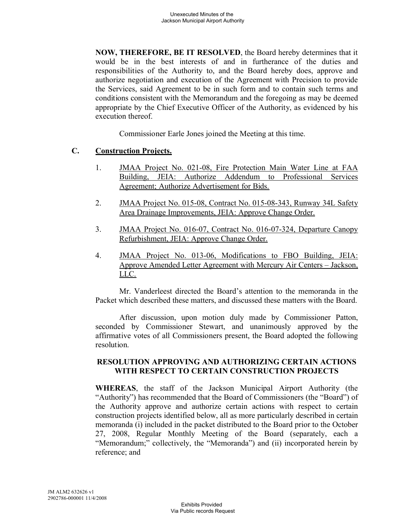**NOW, THEREFORE, BE IT RESOLVED**, the Board hereby determines that it would be in the best interests of and in furtherance of the duties and responsibilities of the Authority to, and the Board hereby does, approve and authorize negotiation and execution of the Agreement with Precision to provide the Services, said Agreement to be in such form and to contain such terms and conditions consistent with the Memorandum and the foregoing as may be deemed appropriate by the Chief Executive Officer of the Authority, as evidenced by his execution thereof.

Commissioner Earle Jones joined the Meeting at this time.

### **C. Construction Projects.**

- 1. JMAA Project No. 021-08, Fire Protection Main Water Line at FAA Building, JEIA: Authorize Addendum to Professional Services Agreement; Authorize Advertisement for Bids.
- 2. JMAA Project No. 015-08, Contract No. 015-08-343, Runway 34L Safety Area Drainage Improvements, JEIA: Approve Change Order.
- 3. JMAA Project No. 016-07, Contract No. 016-07-324, Departure Canopy Refurbishment, JEIA: Approve Change Order.
- 4. JMAA Project No. 013-06, Modifications to FBO Building, JEIA: Approve Amended Letter Agreement with Mercury Air Centers – Jackson, LLC.

Mr. Vanderleest directed the Board's attention to the memoranda in the Packet which described these matters, and discussed these matters with the Board.

After discussion, upon motion duly made by Commissioner Patton, seconded by Commissioner Stewart, and unanimously approved by the affirmative votes of all Commissioners present, the Board adopted the following resolution.

### **RESOLUTION APPROVING AND AUTHORIZING CERTAIN ACTIONS WITH RESPECT TO CERTAIN CONSTRUCTION PROJECTS**

**WHEREAS**, the staff of the Jackson Municipal Airport Authority (the "Authority") has recommended that the Board of Commissioners (the "Board") of the Authority approve and authorize certain actions with respect to certain construction projects identified below, all as more particularly described in certain memoranda (i) included in the packet distributed to the Board prior to the October 27, 2008, Regular Monthly Meeting of the Board (separately, each a "Memorandum;" collectively, the "Memoranda") and (ii) incorporated herein by reference; and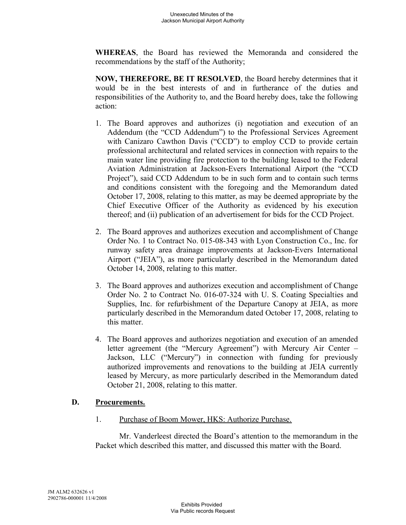**WHEREAS**, the Board has reviewed the Memoranda and considered the recommendations by the staff of the Authority;

**NOW, THEREFORE, BE IT RESOLVED**, the Board hereby determines that it would be in the best interests of and in furtherance of the duties and responsibilities of the Authority to, and the Board hereby does, take the following action:

- 1. The Board approves and authorizes (i) negotiation and execution of an Addendum (the "CCD Addendum") to the Professional Services Agreement with Canizaro Cawthon Davis ("CCD") to employ CCD to provide certain professional architectural and related services in connection with repairs to the main water line providing fire protection to the building leased to the Federal Aviation Administration at Jackson-Evers International Airport (the "CCD Project"), said CCD Addendum to be in such form and to contain such terms and conditions consistent with the foregoing and the Memorandum dated October 17, 2008, relating to this matter, as may be deemed appropriate by the Chief Executive Officer of the Authority as evidenced by his execution thereof; and (ii) publication of an advertisement for bids for the CCD Project.
- 2. The Board approves and authorizes execution and accomplishment of Change Order No. 1 to Contract No. 015-08-343 with Lyon Construction Co., Inc. for runway safety area drainage improvements at Jackson-Evers International Airport ("JEIA"), as more particularly described in the Memorandum dated October 14, 2008, relating to this matter.
- 3. The Board approves and authorizes execution and accomplishment of Change Order No. 2 to Contract No. 016-07-324 with U. S. Coating Specialties and Supplies, Inc. for refurbishment of the Departure Canopy at JEIA, as more particularly described in the Memorandum dated October 17, 2008, relating to this matter.
- 4. The Board approves and authorizes negotiation and execution of an amended letter agreement (the "Mercury Agreement") with Mercury Air Center – Jackson, LLC ("Mercury") in connection with funding for previously authorized improvements and renovations to the building at JEIA currently leased by Mercury, as more particularly described in the Memorandum dated October 21, 2008, relating to this matter.

### **D. Procurements.**

1. Purchase of Boom Mower, HKS: Authorize Purchase.

Mr. Vanderleest directed the Board's attention to the memorandum in the Packet which described this matter, and discussed this matter with the Board.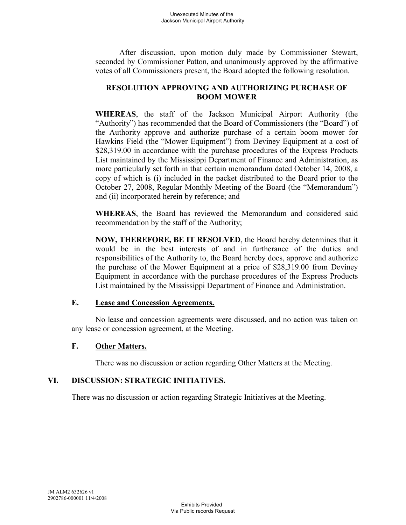After discussion, upon motion duly made by Commissioner Stewart, seconded by Commissioner Patton, and unanimously approved by the affirmative votes of all Commissioners present, the Board adopted the following resolution.

# **RESOLUTION APPROVING AND AUTHORIZING PURCHASE OF BOOM MOWER**

**WHEREAS**, the staff of the Jackson Municipal Airport Authority (the "Authority") has recommended that the Board of Commissioners (the "Board") of the Authority approve and authorize purchase of a certain boom mower for Hawkins Field (the "Mower Equipment") from Deviney Equipment at a cost of \$28,319.00 in accordance with the purchase procedures of the Express Products List maintained by the Mississippi Department of Finance and Administration, as more particularly set forth in that certain memorandum dated October 14, 2008, a copy of which is (i) included in the packet distributed to the Board prior to the October 27, 2008, Regular Monthly Meeting of the Board (the "Memorandum") and (ii) incorporated herein by reference; and

**WHEREAS**, the Board has reviewed the Memorandum and considered said recommendation by the staff of the Authority;

**NOW, THEREFORE, BE IT RESOLVED**, the Board hereby determines that it would be in the best interests of and in furtherance of the duties and responsibilities of the Authority to, the Board hereby does, approve and authorize the purchase of the Mower Equipment at a price of \$28,319.00 from Deviney Equipment in accordance with the purchase procedures of the Express Products List maintained by the Mississippi Department of Finance and Administration.

### **E. Lease and Concession Agreements.**

No lease and concession agreements were discussed, and no action was taken on any lease or concession agreement, at the Meeting.

### **F. Other Matters.**

There was no discussion or action regarding Other Matters at the Meeting.

# **VI. DISCUSSION: STRATEGIC INITIATIVES.**

There was no discussion or action regarding Strategic Initiatives at the Meeting.